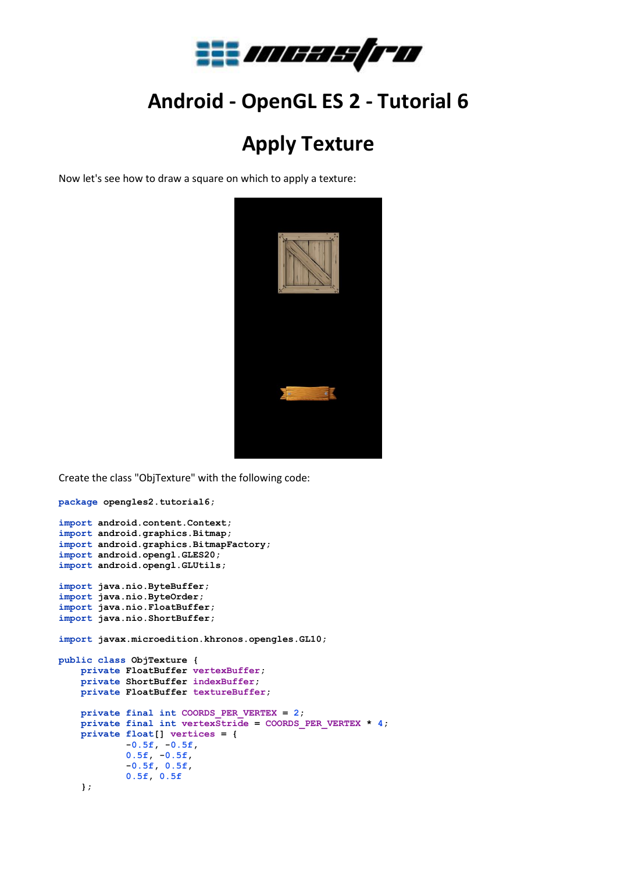

## **Android - OpenGL ES 2 - Tutorial 6**

## **Apply Texture**

Now let's see how to draw a square on which to apply a texture:



Create the class "ObjTexture" with the following code:

```
package opengles2.tutorial6;
```

```
import android.content.Context;
import android.graphics.Bitmap;
import android.graphics.BitmapFactory;
import android.opengl.GLES20;
import android.opengl.GLUtils;
import java.nio.ByteBuffer;
import java.nio.ByteOrder;
import java.nio.FloatBuffer;
import java.nio.ShortBuffer;
import javax.microedition.khronos.opengles.GL10;
public class ObjTexture {
    private FloatBuffer vertexBuffer;
    private ShortBuffer indexBuffer;
    private FloatBuffer textureBuffer;
    private final int COORDS_PER_VERTEX = 2;
    private final int vertexStride = COORDS_PER_VERTEX * 4;
    private float[] vertices = {
            -0.5f, -0.5f,
 0.5f, -0.5f,
 -0.5f, 0.5f,
            0.5f, 0.5f
     };
```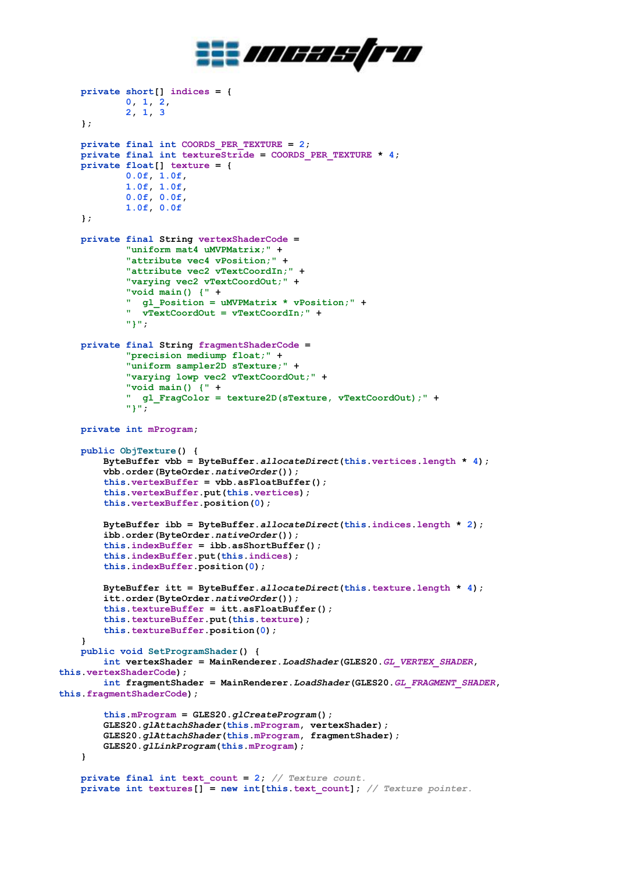

```
 private short[] indices = {
             0, 1, 2,
             2, 1, 3
     };
     private final int COORDS_PER_TEXTURE = 2;
    private final int textureStride = COORDS PER TEXTURE * 4;
    private float[] texture = {
             0.0f, 1.0f,
             1.0f, 1.0f,
             0.0f, 0.0f,
             1.0f, 0.0f
     };
     private final String vertexShaderCode =
             "uniform mat4 uMVPMatrix;" +
             "attribute vec4 vPosition;" +
             "attribute vec2 vTextCoordIn;" +
             "varying vec2 vTextCoordOut;" +
             "void main() {" +
             " gl_Position = uMVPMatrix * vPosition;" +
               " vTextCoordOut = vTextCoordIn;" +
             "}";
     private final String fragmentShaderCode =
             "precision mediump float;" +
             "uniform sampler2D sTexture;" +
             "varying lowp vec2 vTextCoordOut;" +
             "void main() {" +
             " gl_FragColor = texture2D(sTexture, vTextCoordOut);" +
             "}";
     private int mProgram;
     public ObjTexture() {
         ByteBuffer vbb = ByteBuffer.allocateDirect(this.vertices.length * 4);
         vbb.order(ByteOrder.nativeOrder());
         this.vertexBuffer = vbb.asFloatBuffer();
         this.vertexBuffer.put(this.vertices);
         this.vertexBuffer.position(0);
         ByteBuffer ibb = ByteBuffer.allocateDirect(this.indices.length * 2);
         ibb.order(ByteOrder.nativeOrder());
         this.indexBuffer = ibb.asShortBuffer();
         this.indexBuffer.put(this.indices);
         this.indexBuffer.position(0);
         ByteBuffer itt = ByteBuffer.allocateDirect(this.texture.length * 4);
         itt.order(ByteOrder.nativeOrder());
         this.textureBuffer = itt.asFloatBuffer();
         this.textureBuffer.put(this.texture);
         this.textureBuffer.position(0);
     }
     public void SetProgramShader() {
         int vertexShader = MainRenderer.LoadShader(GLES20.GL_VERTEX_SHADER, 
this.vertexShaderCode);
         int fragmentShader = MainRenderer.LoadShader(GLES20.GL_FRAGMENT_SHADER, 
this.fragmentShaderCode);
         this.mProgram = GLES20.glCreateProgram();
         GLES20.glAttachShader(this.mProgram, vertexShader);
         GLES20.glAttachShader(this.mProgram, fragmentShader);
         GLES20.glLinkProgram(this.mProgram);
     }
     private final int text_count = 2; // Texture count.
    \text{private} int textures[] = new int[this.text count]; // Texture pointer.
```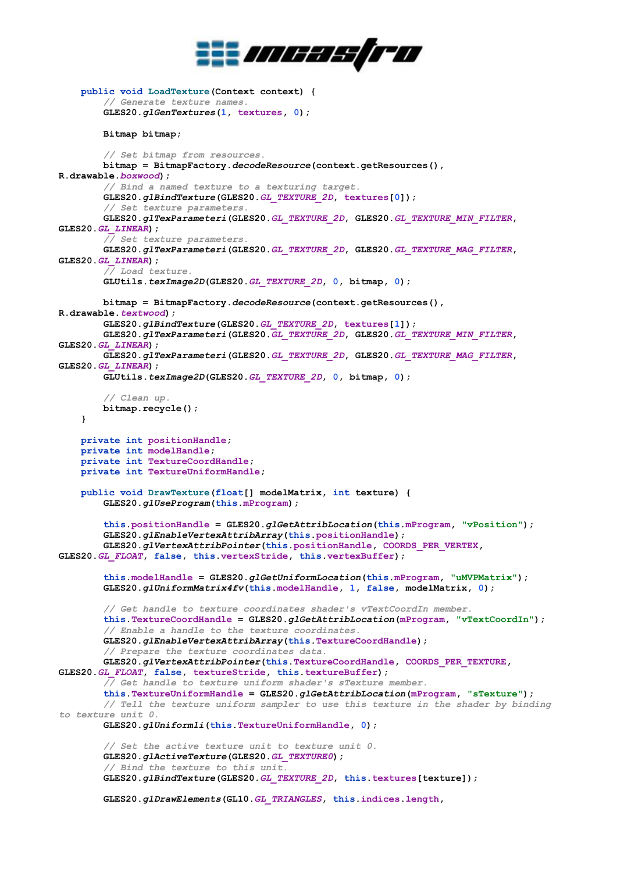

```
 public void LoadTexture(Context context) {
         // Generate texture names.
         GLES20.glGenTextures(1, textures, 0);
         Bitmap bitmap;
         // Set bitmap from resources.
         bitmap = BitmapFactory.decodeResource(context.getResources(), 
R.drawable.boxwood);
         // Bind a named texture to a texturing target.
         GLES20.glBindTexture(GLES20.GL_TEXTURE_2D, textures[0]);
         // Set texture parameters.
         GLES20.glTexParameteri(GLES20.GL_TEXTURE_2D, GLES20.GL_TEXTURE_MIN_FILTER, 
GLES20.GL_LINEAR);
         // Set texture parameters.
         GLES20.glTexParameteri(GLES20.GL_TEXTURE_2D, GLES20.GL_TEXTURE_MAG_FILTER, 
GLES20.GL_LINEAR);
         // Load texture.
         GLUtils.texImage2D(GLES20.GL_TEXTURE_2D, 0, bitmap, 0);
         bitmap = BitmapFactory.decodeResource(context.getResources(), 
R.drawable.textwood);
         GLES20.glBindTexture(GLES20.GL_TEXTURE_2D, textures[1]);
         GLES20.glTexParameteri(GLES20.GL_TEXTURE_2D, GLES20.GL_TEXTURE_MIN_FILTER, 
GLES20.GL_LINEAR);
         GLES20.glTexParameteri(GLES20.GL_TEXTURE_2D, GLES20.GL_TEXTURE_MAG_FILTER, 
GLES20.GL_LINEAR);
         GLUtils.texImage2D(GLES20.GL_TEXTURE_2D, 0, bitmap, 0);
         // Clean up.
         bitmap.recycle();
     }
     private int positionHandle;
     private int modelHandle;
     private int TextureCoordHandle;
     private int TextureUniformHandle;
     public void DrawTexture(float[] modelMatrix, int texture) {
         GLES20.glUseProgram(this.mProgram);
         this.positionHandle = GLES20.glGetAttribLocation(this.mProgram, "vPosition");
         GLES20.glEnableVertexAttribArray(this.positionHandle);
         GLES20.glVertexAttribPointer(this.positionHandle, COORDS_PER_VERTEX, 
GLES20.GL_FLOAT, false, this.vertexStride, this.vertexBuffer);
         this.modelHandle = GLES20.glGetUniformLocation(this.mProgram, "uMVPMatrix");
         GLES20.glUniformMatrix4fv(this.modelHandle, 1, false, modelMatrix, 0);
         // Get handle to texture coordinates shader's vTextCoordIn member.
         this.TextureCoordHandle = GLES20.glGetAttribLocation(mProgram, "vTextCoordIn");
         // Enable a handle to the texture coordinates.
         GLES20.glEnableVertexAttribArray(this.TextureCoordHandle);
         // Prepare the texture coordinates data.
         GLES20.glVertexAttribPointer(this.TextureCoordHandle, COORDS_PER_TEXTURE, 
GLES20.GL_FLOAT, false, textureStride, this.textureBuffer);
         // Get handle to texture uniform shader's sTexture member.
         this.TextureUniformHandle = GLES20.glGetAttribLocation(mProgram, "sTexture");
         // Tell the texture uniform sampler to use this texture in the shader by binding 
to texture unit 0.
         GLES20.glUniform1i(this.TextureUniformHandle, 0);
         // Set the active texture unit to texture unit 0.
         GLES20.glActiveTexture(GLES20.GL_TEXTURE0);
         // Bind the texture to this unit.
         GLES20.glBindTexture(GLES20.GL_TEXTURE_2D, this.textures[texture]);
         GLES20.glDrawElements(GL10.GL_TRIANGLES, this.indices.length,
```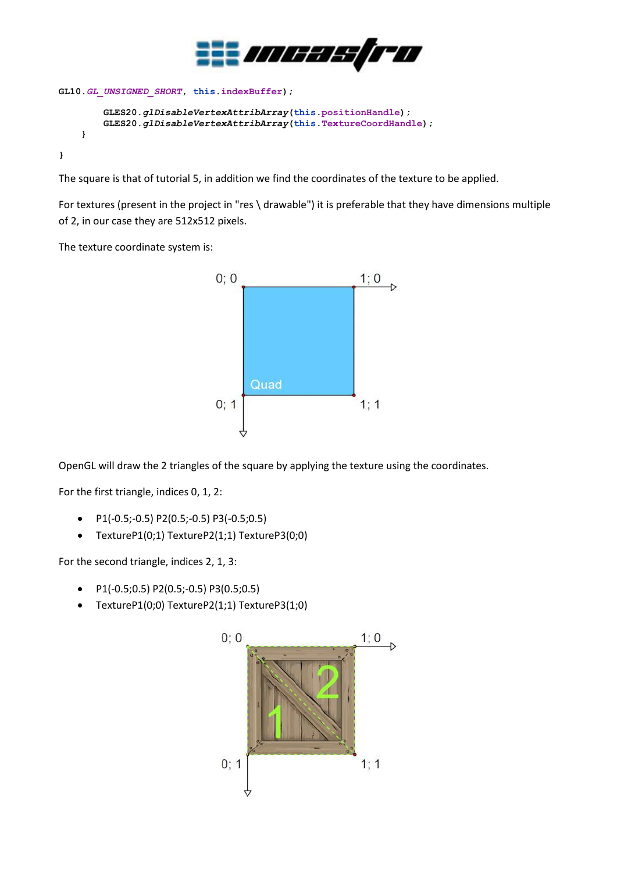

```
GL10.GL_UNSIGNED_SHORT, this.indexBuffer);
         GLES20.glDisableVertexAttribArray(this.positionHandle);
         GLES20.glDisableVertexAttribArray(this.TextureCoordHandle);
     }
```
**}**

The square is that of tutorial 5, in addition we find the coordinates of the texture to be applied.

For textures (present in the project in "res \ drawable") it is preferable that they have dimensions multiple of 2, in our case they are 512x512 pixels.

The texture coordinate system is:



OpenGL will draw the 2 triangles of the square by applying the texture using the coordinates.

For the first triangle, indices 0, 1, 2:

- P1(-0.5;-0.5) P2(0.5;-0.5) P3(-0.5;0.5)
- TextureP1(0;1) TextureP2(1;1) TextureP3(0;0)

For the second triangle, indices 2, 1, 3:

- P1(-0.5;0.5) P2(0.5;-0.5) P3(0.5;0.5)
- TextureP1(0;0) TextureP2(1;1) TextureP3(1;0)

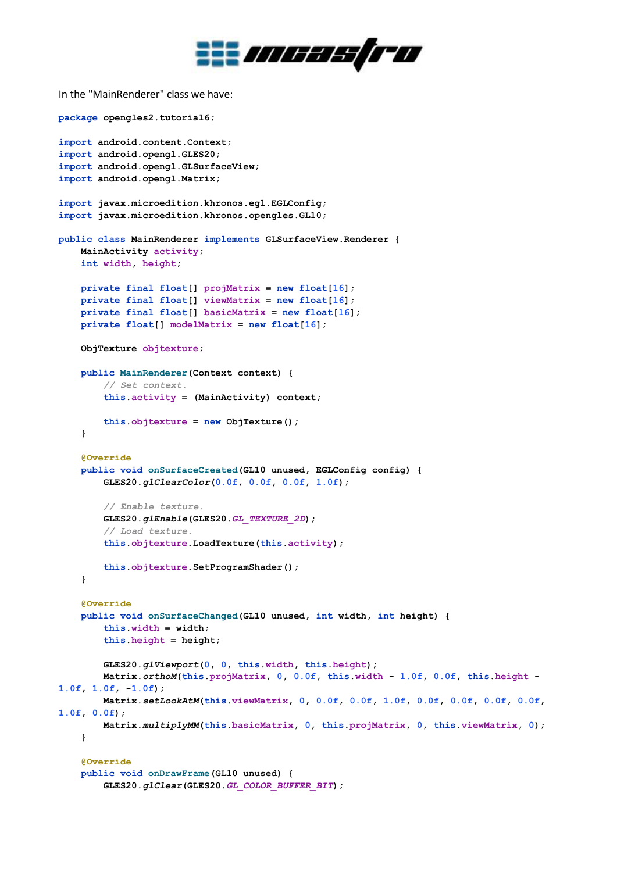

In the "MainRenderer" class we have:

```
package opengles2.tutorial6;
import android.content.Context;
import android.opengl.GLES20;
import android.opengl.GLSurfaceView;
import android.opengl.Matrix;
import javax.microedition.khronos.egl.EGLConfig;
import javax.microedition.khronos.opengles.GL10;
public class MainRenderer implements GLSurfaceView.Renderer {
     MainActivity activity;
     int width, height;
     private final float[] projMatrix = new float[16];
     private final float[] viewMatrix = new float[16];
     private final float[] basicMatrix = new float[16];
     private float[] modelMatrix = new float[16];
     ObjTexture objtexture;
     public MainRenderer(Context context) {
         // Set context.
         this.activity = (MainActivity) context;
         this.objtexture = new ObjTexture();
     }
     @Override
     public void onSurfaceCreated(GL10 unused, EGLConfig config) {
         GLES20.glClearColor(0.0f, 0.0f, 0.0f, 1.0f);
         // Enable texture.
         GLES20.glEnable(GLES20.GL_TEXTURE_2D);
         // Load texture.
         this.objtexture.LoadTexture(this.activity);
         this.objtexture.SetProgramShader();
     }
     @Override
     public void onSurfaceChanged(GL10 unused, int width, int height) {
         this.width = width;
         this.height = height;
         GLES20.glViewport(0, 0, this.width, this.height);
         Matrix.orthoM(this.projMatrix, 0, 0.0f, this.width - 1.0f, 0.0f, this.height -
1.0f, 1.0f, -1.0f);
         Matrix.setLookAtM(this.viewMatrix, 0, 0.0f, 0.0f, 1.0f, 0.0f, 0.0f, 0.0f, 0.0f, 
1.0f, 0.0f);
         Matrix.multiplyMM(this.basicMatrix, 0, this.projMatrix, 0, this.viewMatrix, 0);
     }
     @Override
     public void onDrawFrame(GL10 unused) {
         GLES20.glClear(GLES20.GL_COLOR_BUFFER_BIT);
```